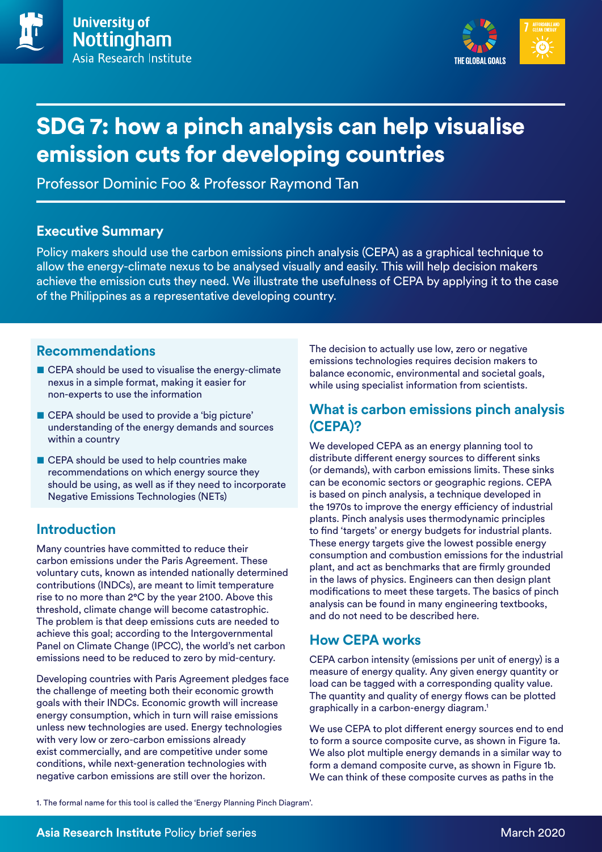

# SDG 7: how a pinch analysis can help visualise emission cuts for developing countries

Professor Dominic Foo & Professor Raymond Tan

## **Executive Summary**

Policy makers should use the carbon emissions pinch analysis (CEPA) as a graphical technique to allow the energy-climate nexus to be analysed visually and easily. This will help decision makers achieve the emission cuts they need. We illustrate the usefulness of CEPA by applying it to the case of the Philippines as a representative developing country.

## **Recommendations**

- CEPA should be used to visualise the energy-climate nexus in a simple format, making it easier for non-experts to use the information
- CEPA should be used to provide a 'big picture' understanding of the energy demands and sources within a country
- CEPA should be used to help countries make recommendations on which energy source they should be using, as well as if they need to incorporate Negative Emissions Technologies (NETs)

# **Introduction**

Many countries have committed to reduce their carbon emissions under the Paris Agreement. These voluntary cuts, known as intended nationally determined contributions (INDCs), are meant to limit temperature rise to no more than 2°C by the year 2100. Above this threshold, climate change will become catastrophic. The problem is that deep emissions cuts are needed to achieve this goal; according to the Intergovernmental Panel on Climate Change (IPCC), the world's net carbon emissions need to be reduced to zero by mid-century.

Developing countries with Paris Agreement pledges face the challenge of meeting both their economic growth goals with their INDCs. Economic growth will increase energy consumption, which in turn will raise emissions unless new technologies are used. Energy technologies with very low or zero-carbon emissions already exist commercially, and are competitive under some conditions, while next-generation technologies with negative carbon emissions are still over the horizon.

The decision to actually use low, zero or negative emissions technologies requires decision makers to balance economic, environmental and societal goals, while using specialist information from scientists.

## **What is carbon emissions pinch analysis (CEPA)?**

We developed CEPA as an energy planning tool to distribute different energy sources to different sinks (or demands), with carbon emissions limits. These sinks can be economic sectors or geographic regions. CEPA is based on pinch analysis, a technique developed in the 1970s to improve the energy efficiency of industrial plants. Pinch analysis uses thermodynamic principles to find 'targets' or energy budgets for industrial plants. These energy targets give the lowest possible energy consumption and combustion emissions for the industrial plant, and act as benchmarks that are firmly grounded in the laws of physics. Engineers can then design plant modifications to meet these targets. The basics of pinch analysis can be found in many engineering textbooks, and do not need to be described here.

# **How CEPA works**

CEPA carbon intensity (emissions per unit of energy) is a measure of energy quality. Any given energy quantity or load can be tagged with a corresponding quality value. The quantity and quality of energy flows can be plotted graphically in a carbon-energy diagram.1

We use CEPA to plot different energy sources end to end to form a source composite curve, as shown in Figure 1a. We also plot multiple energy demands in a similar way to form a demand composite curve, as shown in Figure 1b. We can think of these composite curves as paths in the

1. The formal name for this tool is called the 'Energy Planning Pinch Diagram'.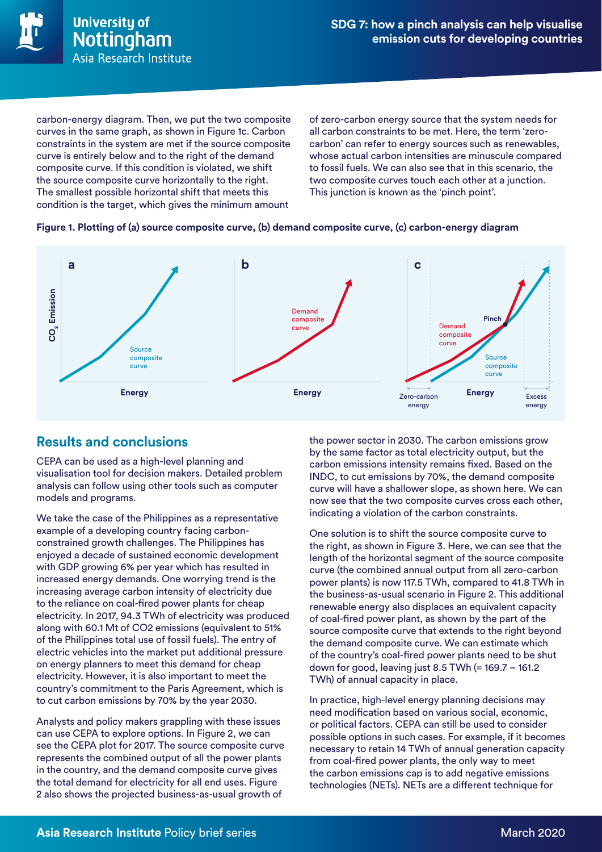

carbon-energy diagram. Then, we put the two composite curves in the same graph, as shown in Figure 1c. Carbon constraints in the system are met if the source composite curve is entirely below and to the right of the demand composite curve. If this condition is violated, we shift the source composite curve horizontally to the right. The smallest possible horizontal shift that meets this condition is the target, which gives the minimum amount

of zero-carbon energy source that the system needs for all carbon constraints to be met. Here, the term 'zerocarbon' can refer to energy sources such as renewables, whose actual carbon intensities are minuscule compared to fossil fuels. We can also see that in this scenario, the two composite curves touch each other at a junction. This junction is known as the 'pinch point'.

#### **Figure 1. Plotting of (a) source composite curve, (b) demand composite curve, (c) carbon-energy diagram**



## **Results and conclusions**

CEPA can be used as a high-level planning and visualisation tool for decision makers. Detailed problem analysis can follow using other tools such as computer models and programs.

We take the case of the Philippines as a representative example of a developing country facing carbonconstrained growth challenges. The Philippines has enjoyed a decade of sustained economic development with GDP growing 6% per year which has resulted in increased energy demands. One worrying trend is the increasing average carbon intensity of electricity due to the reliance on coal-fired power plants for cheap electricity. In 2017, 94.3 TWh of electricity was produced along with 60.1 Mt of CO2 emissions (equivalent to 51% of the Philippines total use of fossil fuels). The entry of electric vehicles into the market put additional pressure on energy planners to meet this demand for cheap electricity. However, it is also important to meet the country's commitment to the Paris Agreement, which is to cut carbon emissions by 70% by the year 2030.

Analysts and policy makers grappling with these issues can use CEPA to explore options. In Figure 2, we can see the CEPA plot for 2017. The source composite curve represents the combined output of all the power plants in the country, and the demand composite curve gives the total demand for electricity for all end uses. Figure 2 also shows the projected business-as-usual growth of

the power sector in 2030. The carbon emissions grow by the same factor as total electricity output, but the carbon emissions intensity remains fixed. Based on the INDC, to cut emissions by 70%, the demand composite curve will have a shallower slope, as shown here. We can now see that the two composite curves cross each other, indicating a violation of the carbon constraints.

One solution is to shift the source composite curve to the right, as shown in Figure 3. Here, we can see that the length of the horizontal segment of the source composite curve (the combined annual output from all zero-carbon power plants) is now 117.5 TWh, compared to 41.8 TWh in the business-as-usual scenario in Figure 2. This additional renewable energy also displaces an equivalent capacity of coal-fired power plant, as shown by the part of the source composite curve that extends to the right beyond the demand composite curve. We can estimate which of the country's coal-fired power plants need to be shut down for good, leaving just 8.5 TWh (= 169.7 – 161.2 TWh) of annual capacity in place.

In practice, high-level energy planning decisions may need modification based on various social, economic, or political factors. CEPA can still be used to consider possible options in such cases. For example, if it becomes necessary to retain 14 TWh of annual generation capacity from coal-fired power plants, the only way to meet the carbon emissions cap is to add negative emissions technologies (NETs). NETs are a different technique for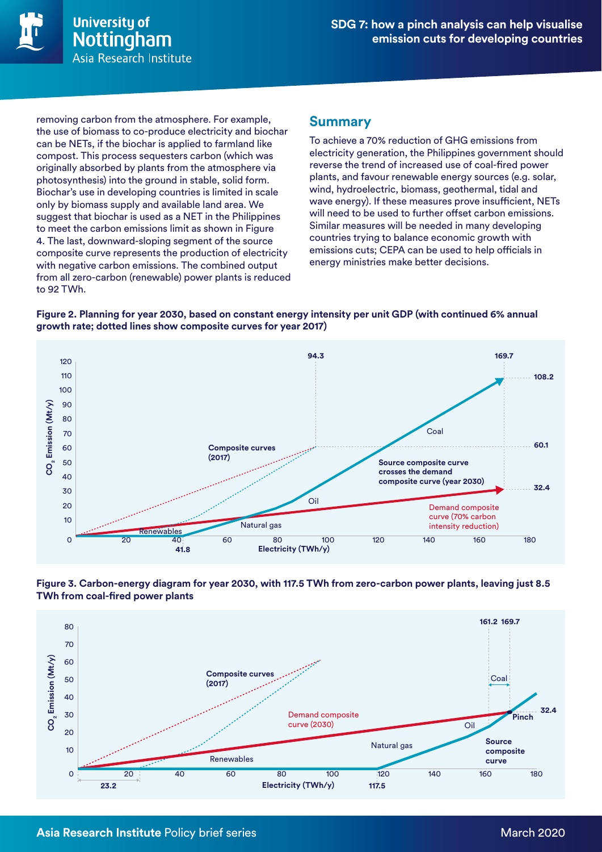

removing carbon from the atmosphere. For example, the use of biomass to co-produce electricity and biochar can be NETs, if the biochar is applied to farmland like compost. This process sequesters carbon (which was originally absorbed by plants from the atmosphere via photosynthesis) into the ground in stable, solid form. Biochar's use in developing countries is limited in scale only by biomass supply and available land area. We suggest that biochar is used as a NET in the Philippines to meet the carbon emissions limit as shown in Figure 4. The last, downward-sloping segment of the source composite curve represents the production of electricity with negative carbon emissions. The combined output from all zero-carbon (renewable) power plants is reduced to 92 TWh.

### **Summary**

To achieve a 70% reduction of GHG emissions from electricity generation, the Philippines government should reverse the trend of increased use of coal-fired power plants, and favour renewable energy sources (e.g. solar, wind, hydroelectric, biomass, geothermal, tidal and wave energy). If these measures prove insufficient, NETs will need to be used to further offset carbon emissions. Similar measures will be needed in many developing countries trying to balance economic growth with emissions cuts; CEPA can be used to help officials in energy ministries make better decisions.

**Figure 2. Planning for year 2030, based on constant energy intensity per unit GDP (with continued 6% annual growth rate; dotted lines show composite curves for year 2017)**



**Figure 3. Carbon-energy diagram for year 2030, with 117.5 TWh from zero-carbon power plants, leaving just 8.5 TWh from coal-fired power plants**